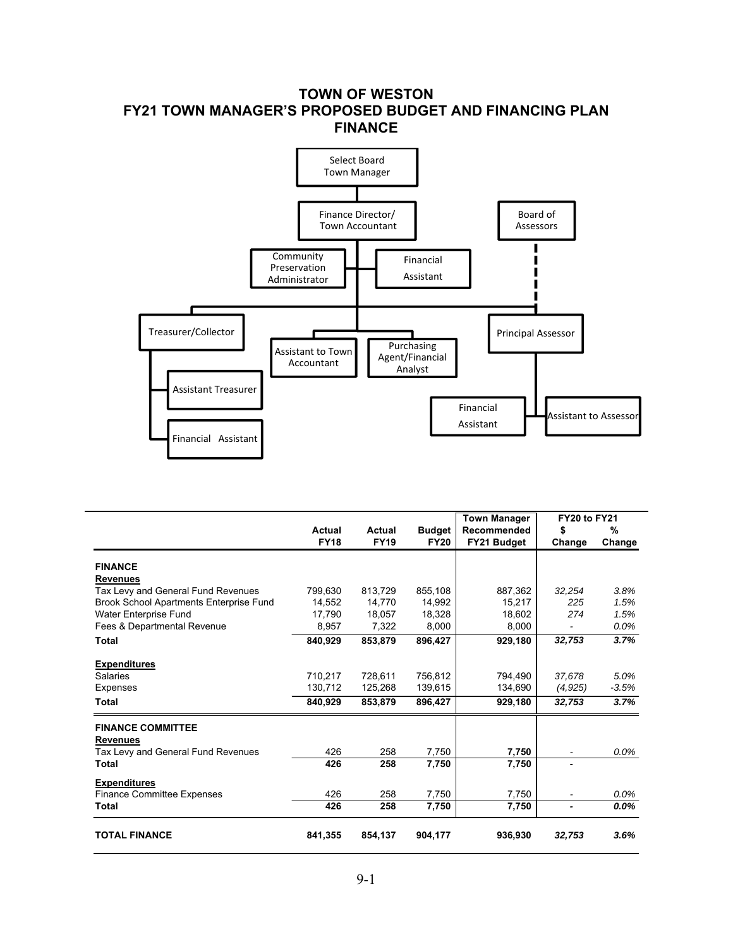### **TOWN OF WESTON FY21 TOWN MANAGER'S PROPOSED BUDGET AND FINANCING PLAN FINANCE**



|                                         |             |             |               | <b>Town Manager</b> | <b>FY20 to FY21</b> |         |
|-----------------------------------------|-------------|-------------|---------------|---------------------|---------------------|---------|
|                                         | Actual      | Actual      | <b>Budget</b> | Recommended         | \$                  | %       |
|                                         | <b>FY18</b> | <b>FY19</b> | <b>FY20</b>   | FY21 Budget         | Change              | Change  |
| <b>FINANCE</b>                          |             |             |               |                     |                     |         |
| <b>Revenues</b>                         |             |             |               |                     |                     |         |
| Tax Levy and General Fund Revenues      | 799.630     | 813,729     | 855,108       | 887,362             | 32,254              | 3.8%    |
| Brook School Apartments Enterprise Fund | 14,552      | 14,770      | 14,992        | 15,217              | 225                 | 1.5%    |
| Water Enterprise Fund                   | 17,790      | 18,057      | 18,328        | 18,602              | 274                 | 1.5%    |
| Fees & Departmental Revenue             | 8,957       | 7,322       | 8,000         | 8,000               |                     | 0.0%    |
| <b>Total</b>                            | 840,929     | 853,879     | 896,427       | 929,180             | 32,753              | 3.7%    |
| <b>Expenditures</b>                     |             |             |               |                     |                     |         |
| Salaries                                | 710,217     | 728,611     | 756,812       | 794,490             | 37.678              | 5.0%    |
| <b>Expenses</b>                         | 130,712     | 125,268     | 139,615       | 134,690             | (4,925)             | $-3.5%$ |
| Total                                   | 840,929     | 853,879     | 896,427       | 929,180             | 32,753              | 3.7%    |
| <b>FINANCE COMMITTEE</b>                |             |             |               |                     |                     |         |
| <b>Revenues</b>                         |             |             |               |                     |                     |         |
| Tax Levy and General Fund Revenues      | 426         | 258         | 7,750         | 7,750               |                     | $0.0\%$ |
| Total                                   | 426         | 258         | 7,750         | 7,750               |                     |         |
| <b>Expenditures</b>                     |             |             |               |                     |                     |         |
| <b>Finance Committee Expenses</b>       | 426         | 258         | 7,750         | 7,750               |                     | 0.0%    |
| Total                                   | 426         | 258         | 7,750         | 7,750               |                     | $0.0\%$ |
| <b>TOTAL FINANCE</b>                    | 841,355     | 854,137     | 904,177       | 936,930             | 32,753              | 3.6%    |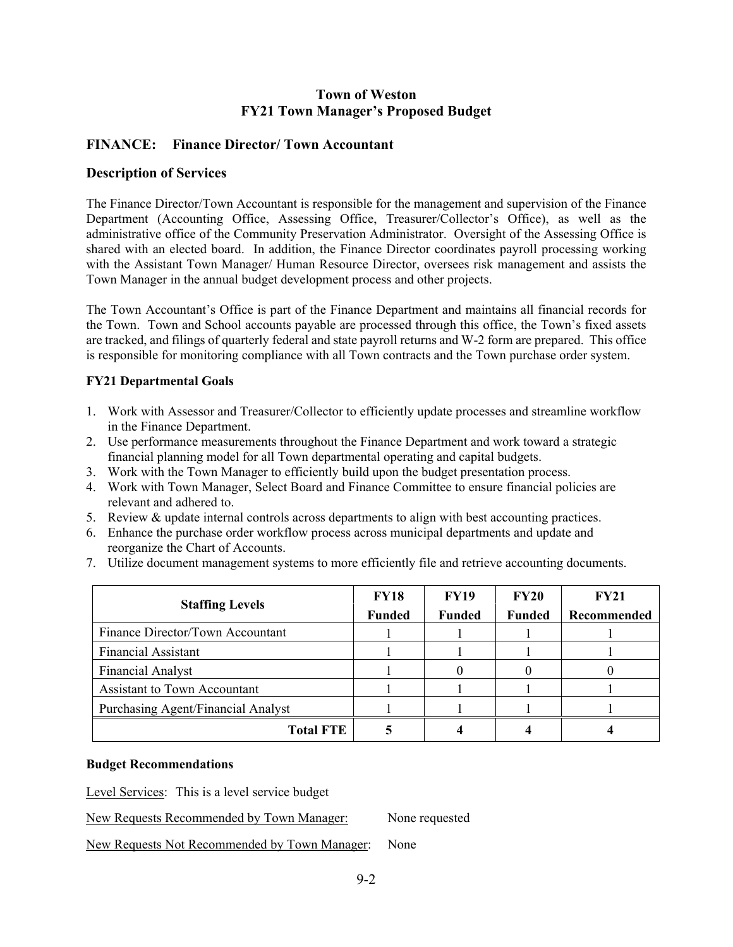### **FINANCE: Finance Director/ Town Accountant**

#### **Description of Services**

The Finance Director/Town Accountant is responsible for the management and supervision of the Finance Department (Accounting Office, Assessing Office, Treasurer/Collector's Office), as well as the administrative office of the Community Preservation Administrator. Oversight of the Assessing Office is shared with an elected board. In addition, the Finance Director coordinates payroll processing working with the Assistant Town Manager/ Human Resource Director, oversees risk management and assists the Town Manager in the annual budget development process and other projects.

The Town Accountant's Office is part of the Finance Department and maintains all financial records for the Town. Town and School accounts payable are processed through this office, the Town's fixed assets are tracked, and filings of quarterly federal and state payroll returns and W-2 form are prepared. This office is responsible for monitoring compliance with all Town contracts and the Town purchase order system.

#### **FY21 Departmental Goals**

- 1. Work with Assessor and Treasurer/Collector to efficiently update processes and streamline workflow in the Finance Department.
- 2. Use performance measurements throughout the Finance Department and work toward a strategic financial planning model for all Town departmental operating and capital budgets.
- 3. Work with the Town Manager to efficiently build upon the budget presentation process.
- 4. Work with Town Manager, Select Board and Finance Committee to ensure financial policies are relevant and adhered to.
- 5. Review & update internal controls across departments to align with best accounting practices.
- 6. Enhance the purchase order workflow process across municipal departments and update and reorganize the Chart of Accounts.
- 7. Utilize document management systems to more efficiently file and retrieve accounting documents.

| <b>Staffing Levels</b>             | <b>FY18</b>   | <b>FY19</b>   | <b>FY20</b>   | <b>FY21</b> |
|------------------------------------|---------------|---------------|---------------|-------------|
|                                    | <b>Funded</b> | <b>Funded</b> | <b>Funded</b> | Recommended |
| Finance Director/Town Accountant   |               |               |               |             |
| <b>Financial Assistant</b>         |               |               |               |             |
| Financial Analyst                  |               |               |               |             |
| Assistant to Town Accountant       |               |               |               |             |
| Purchasing Agent/Financial Analyst |               |               |               |             |
| <b>Total FTE</b>                   |               |               |               |             |

#### **Budget Recommendations**

Level Services: This is a level service budget

New Requests Recommended by Town Manager: None requested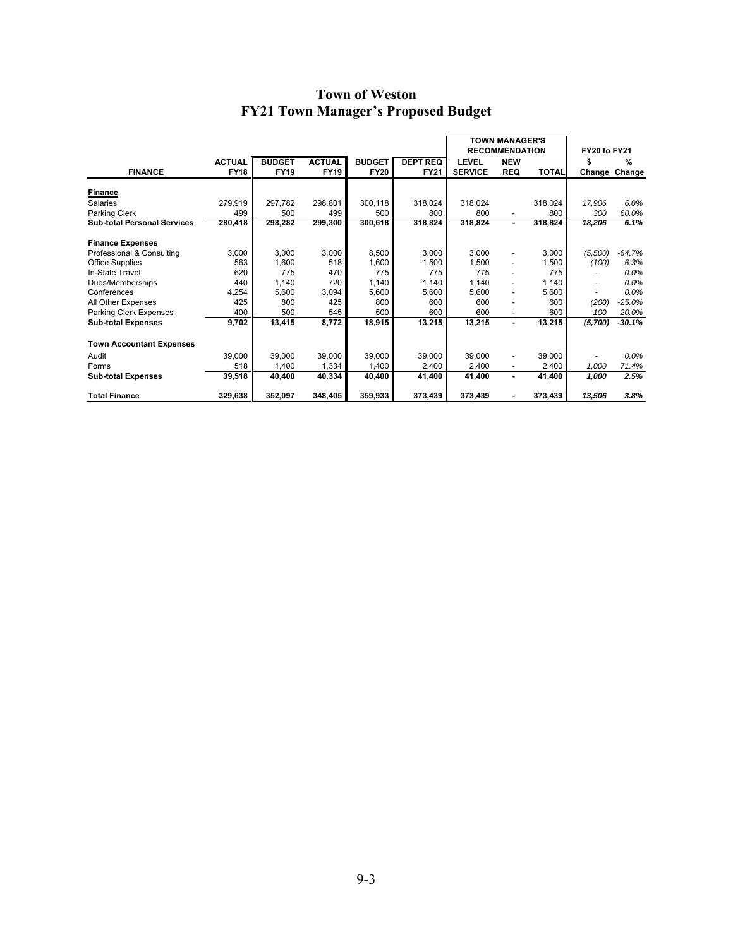|                                    |               |               |               |               |                 | <b>TOWN MANAGER'S</b> |                          |              |              |               |
|------------------------------------|---------------|---------------|---------------|---------------|-----------------|-----------------------|--------------------------|--------------|--------------|---------------|
|                                    |               |               |               |               |                 |                       | <b>RECOMMENDATION</b>    |              | FY20 to FY21 |               |
|                                    | <b>ACTUAL</b> | <b>BUDGET</b> | <b>ACTUAL</b> | <b>BUDGET</b> | <b>DEPT REQ</b> | <b>LEVEL</b>          | <b>NEW</b>               |              | S            | $\frac{0}{0}$ |
| <b>FINANCE</b>                     | <b>FY18</b>   | <b>FY19</b>   | <b>FY19</b>   | <b>FY20</b>   | <b>FY21</b>     | <b>SERVICE</b>        | <b>REQ</b>               | <b>TOTAL</b> |              | Change Change |
| <b>Finance</b>                     |               |               |               |               |                 |                       |                          |              |              |               |
| <b>Salaries</b>                    | 279,919       | 297,782       | 298,801       | 300,118       | 318,024         | 318,024               |                          | 318,024      | 17,906       | 6.0%          |
| Parking Clerk                      | 499           | 500           | 499           | 500           | 800             | 800                   |                          | 800          | 300          | 60.0%         |
| <b>Sub-total Personal Services</b> | 280,418       | 298,282       | 299,300       | 300,618       | 318,824         | 318,824               | ٠                        | 318,824      | 18,206       | 6.1%          |
| <b>Finance Expenses</b>            |               |               |               |               |                 |                       |                          |              |              |               |
| Professional & Consulting          | 3,000         | 3,000         | 3,000         | 8,500         | 3,000           | 3,000                 |                          | 3,000        | (5,500)      | $-64.7%$      |
| Office Supplies                    | 563           | 1,600         | 518           | 1,600         | 1,500           | 1,500                 | $\overline{\phantom{a}}$ | 1,500        | (100)        | $-6.3%$       |
| In-State Travel                    | 620           | 775           | 470           | 775           | 775             | 775                   |                          | 775          |              | 0.0%          |
| Dues/Memberships                   | 440           | 1,140         | 720           | 1,140         | 1,140           | 1,140                 | -                        | 1,140        |              | 0.0%          |
| Conferences                        | 4,254         | 5,600         | 3,094         | 5,600         | 5,600           | 5,600                 | $\overline{\phantom{0}}$ | 5,600        |              | 0.0%          |
| All Other Expenses                 | 425           | 800           | 425           | 800           | 600             | 600                   |                          | 600          | (200)        | $-25.0%$      |
| Parking Clerk Expenses             | 400           | 500           | 545           | 500           | 600             | 600                   |                          | 600          | 100          | 20.0%         |
| <b>Sub-total Expenses</b>          | 9,702         | 13,415        | 8,772         | 18,915        | 13,215          | 13,215                | ٠                        | 13,215       | (5,700)      | $-30.1%$      |
| <b>Town Accountant Expenses</b>    |               |               |               |               |                 |                       |                          |              |              |               |
| Audit                              | 39,000        | 39.000        | 39,000        | 39,000        | 39.000          | 39.000                | $\overline{\phantom{0}}$ | 39,000       |              | $0.0\%$       |
| Forms                              | 518           | 1,400         | 1,334         | 1,400         | 2,400           | 2,400                 |                          | 2,400        | 1,000        | 71.4%         |
| <b>Sub-total Expenses</b>          | 39,518        | 40,400        | 40,334        | 40,400        | 41,400          | 41,400                | ٠                        | 41,400       | 1,000        | 2.5%          |
| <b>Total Finance</b>               | 329,638       | 352,097       | 348,405       | 359,933       | 373,439         | 373,439               |                          | 373,439      | 13,506       | 3.8%          |

 $\overline{\phantom{a}}$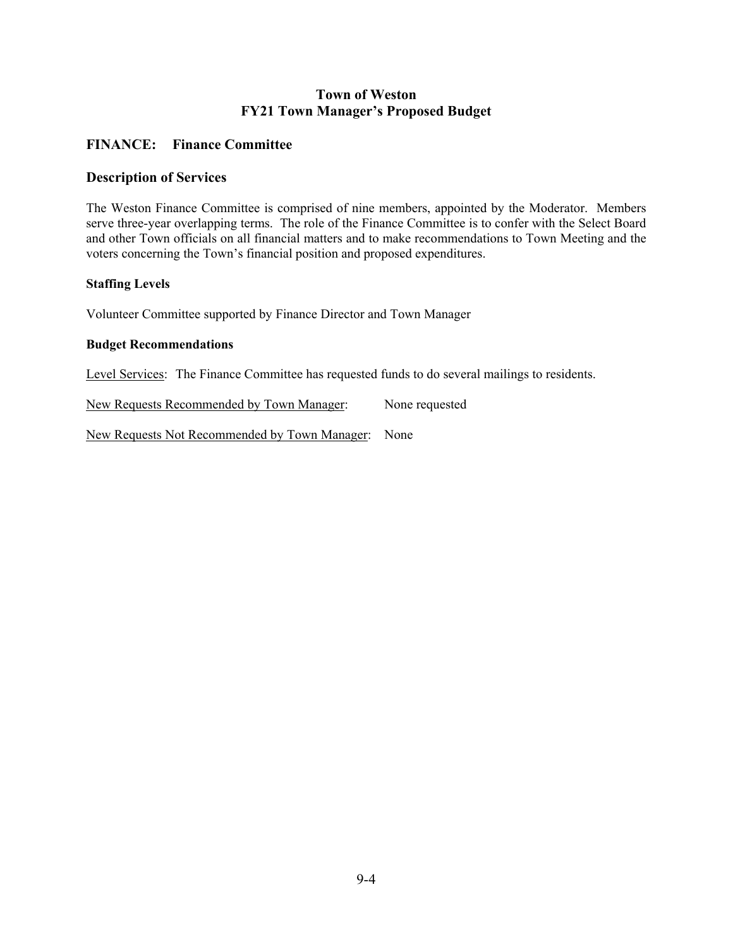### **FINANCE: Finance Committee**

#### **Description of Services**

The Weston Finance Committee is comprised of nine members, appointed by the Moderator. Members serve three-year overlapping terms. The role of the Finance Committee is to confer with the Select Board and other Town officials on all financial matters and to make recommendations to Town Meeting and the voters concerning the Town's financial position and proposed expenditures.

#### **Staffing Levels**

Volunteer Committee supported by Finance Director and Town Manager

#### **Budget Recommendations**

Level Services: The Finance Committee has requested funds to do several mailings to residents.

New Requests Recommended by Town Manager: None requested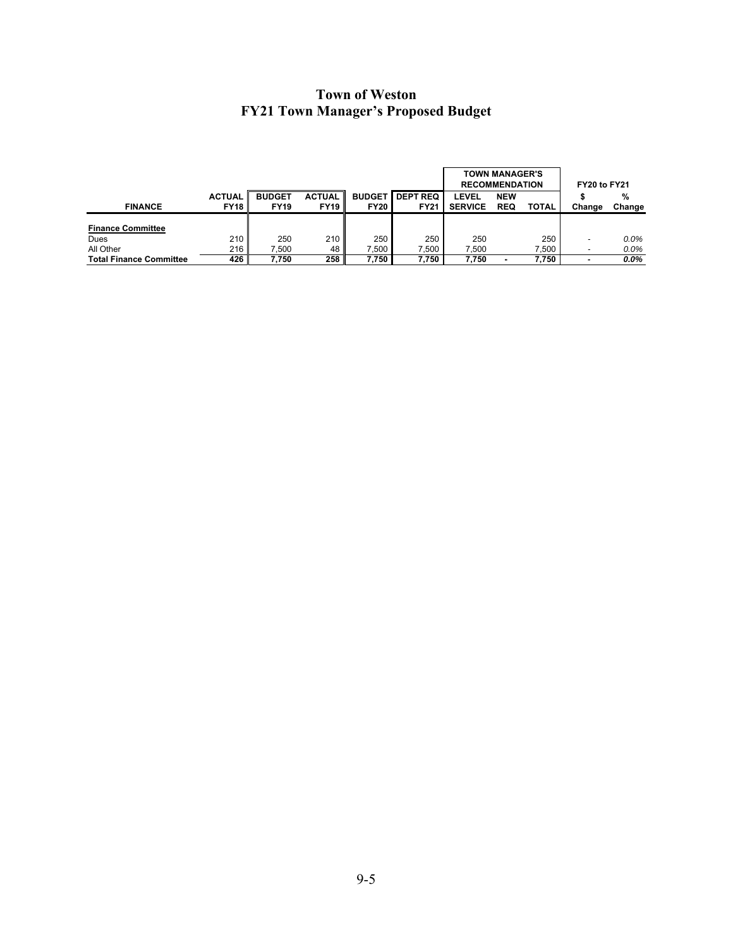|                                |               |               |               |               |                 | <b>RECOMMENDATION</b> | <b>TOWN MANAGER'S</b> | FY20 to FY21 |        |         |
|--------------------------------|---------------|---------------|---------------|---------------|-----------------|-----------------------|-----------------------|--------------|--------|---------|
|                                | <b>ACTUAL</b> | <b>BUDGET</b> | <b>ACTUAL</b> | <b>BUDGET</b> | <b>DEPT REQ</b> | LEVEL                 | <b>NEW</b>            |              |        | %       |
| <b>FINANCE</b>                 | <b>FY18</b>   | <b>FY19</b>   | <b>FY19</b>   | <b>FY20</b>   | <b>FY21</b>     | <b>SERVICE</b>        | <b>REQ</b>            | <b>TOTAL</b> | Change | Change  |
|                                |               |               |               |               |                 |                       |                       |              |        |         |
| <b>Finance Committee</b>       |               |               |               |               |                 |                       |                       |              |        |         |
| Dues                           | 210           | 250           | 210           | 250           | 250             | 250                   |                       | 250          |        | $0.0\%$ |
| All Other                      | 216           | 7.500         | 48            | 7.500         | .500            | 7.500                 |                       | 7.500        |        | 0.0%    |
| <b>Total Finance Committee</b> | 426           | 7.750         | 258           | 7.750         | 7,750           | 7.750                 |                       | 7.750        | -      | $0.0\%$ |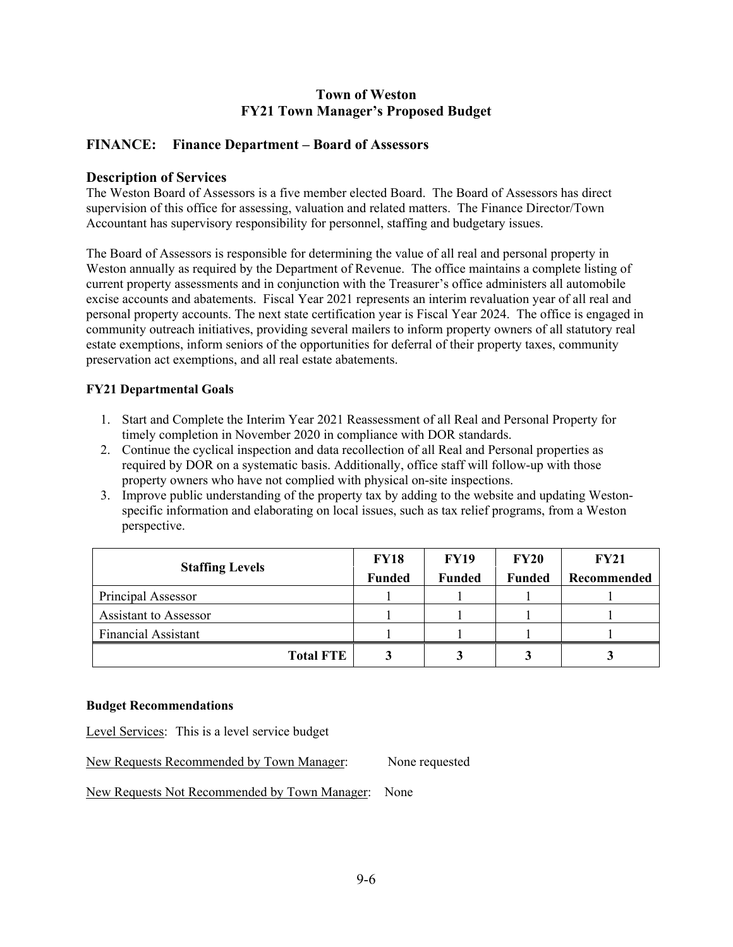### **FINANCE: Finance Department – Board of Assessors**

#### **Description of Services**

The Weston Board of Assessors is a five member elected Board. The Board of Assessors has direct supervision of this office for assessing, valuation and related matters. The Finance Director/Town Accountant has supervisory responsibility for personnel, staffing and budgetary issues.

The Board of Assessors is responsible for determining the value of all real and personal property in Weston annually as required by the Department of Revenue. The office maintains a complete listing of current property assessments and in conjunction with the Treasurer's office administers all automobile excise accounts and abatements. Fiscal Year 2021 represents an interim revaluation year of all real and personal property accounts. The next state certification year is Fiscal Year 2024. The office is engaged in community outreach initiatives, providing several mailers to inform property owners of all statutory real estate exemptions, inform seniors of the opportunities for deferral of their property taxes, community preservation act exemptions, and all real estate abatements.

#### **FY21 Departmental Goals**

- 1. Start and Complete the Interim Year 2021 Reassessment of all Real and Personal Property for timely completion in November 2020 in compliance with DOR standards.
- 2. Continue the cyclical inspection and data recollection of all Real and Personal properties as required by DOR on a systematic basis. Additionally, office staff will follow-up with those property owners who have not complied with physical on-site inspections.
- 3. Improve public understanding of the property tax by adding to the website and updating Westonspecific information and elaborating on local issues, such as tax relief programs, from a Weston perspective.

| <b>Staffing Levels</b>     | <b>FY18</b>   | <b>FY19</b>   | <b>FY20</b>   | <b>FY21</b> |
|----------------------------|---------------|---------------|---------------|-------------|
|                            | <b>Funded</b> | <b>Funded</b> | <b>Funded</b> | Recommended |
| Principal Assessor         |               |               |               |             |
| Assistant to Assessor      |               |               |               |             |
| <b>Financial Assistant</b> |               |               |               |             |
| <b>Total FTE</b>           |               |               |               |             |

#### **Budget Recommendations**

Level Services: This is a level service budget

New Requests Recommended by Town Manager: None requested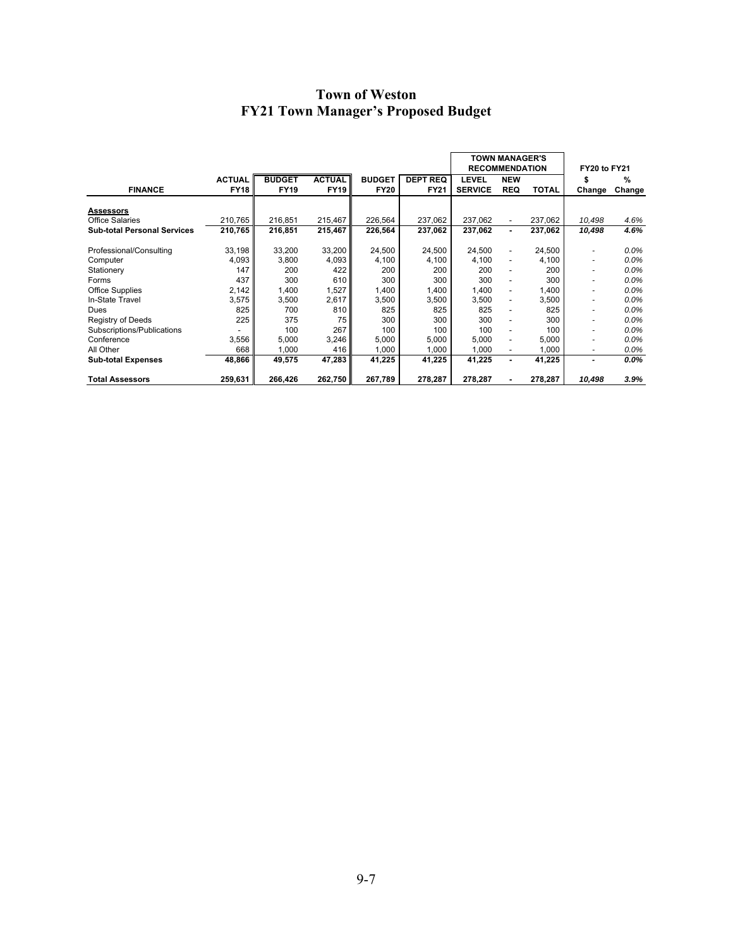|                                    |                              |                              |                              |                              |                                | <b>TOWN MANAGER'S</b><br><b>RECOMMENDATION</b> |                          |              | <b>FY20 to FY21</b> |             |
|------------------------------------|------------------------------|------------------------------|------------------------------|------------------------------|--------------------------------|------------------------------------------------|--------------------------|--------------|---------------------|-------------|
| <b>FINANCE</b>                     | <b>ACTUAL</b><br><b>FY18</b> | <b>BUDGET</b><br><b>FY19</b> | <b>ACTUAL</b><br><b>FY19</b> | <b>BUDGET</b><br><b>FY20</b> | <b>DEPT REQ</b><br><b>FY21</b> | LEVEL<br><b>SERVICE</b>                        | <b>NEW</b><br><b>REQ</b> | <b>TOTAL</b> | S<br>Change         | %<br>Change |
|                                    |                              |                              |                              |                              |                                |                                                |                          |              |                     |             |
| <b>Assessors</b>                   |                              |                              |                              |                              |                                |                                                |                          |              |                     |             |
| <b>Office Salaries</b>             | 210,765                      | 216,851                      | 215,467                      | 226,564                      | 237,062                        | 237,062                                        | $\overline{\phantom{a}}$ | 237,062      | 10,498              | 4.6%        |
| <b>Sub-total Personal Services</b> | 210,765                      | 216,851                      | 215,467                      | 226,564                      | 237,062                        | 237,062                                        | ٠                        | 237,062      | 10,498              | 4.6%        |
|                                    |                              |                              |                              |                              |                                |                                                |                          |              |                     |             |
| Professional/Consulting            | 33,198                       | 33,200                       | 33,200                       | 24,500                       | 24,500                         | 24,500                                         | $\overline{\phantom{a}}$ | 24,500       |                     | 0.0%        |
| Computer                           | 4,093                        | 3,800                        | 4,093                        | 4,100                        | 4,100                          | 4,100                                          | $\overline{\phantom{a}}$ | 4,100        |                     | 0.0%        |
| Stationery                         | 147                          | 200                          | 422                          | 200                          | 200                            | 200                                            | $\overline{\phantom{a}}$ | 200          | ٠                   | $0.0\%$     |
| Forms                              | 437                          | 300                          | 610                          | 300                          | 300                            | 300                                            | $\blacksquare$           | 300          | ۰                   | $0.0\%$     |
| <b>Office Supplies</b>             | 2,142                        | 1,400                        | 1,527                        | 1,400                        | 1,400                          | 1,400                                          | $\blacksquare$           | 1,400        | ۰                   | 0.0%        |
| In-State Travel                    | 3,575                        | 3,500                        | 2,617                        | 3,500                        | 3,500                          | 3,500                                          |                          | 3,500        |                     | 0.0%        |
| Dues                               | 825                          | 700                          | 810                          | 825                          | 825                            | 825                                            |                          | 825          | ۰                   | 0.0%        |
| <b>Registry of Deeds</b>           | 225                          | 375                          | 75                           | 300                          | 300                            | 300                                            |                          | 300          |                     | 0.0%        |
| Subscriptions/Publications         |                              | 100                          | 267                          | 100                          | 100                            | 100                                            | $\blacksquare$           | 100          |                     | 0.0%        |
| Conference                         | 3,556                        | 5,000                        | 3,246                        | 5,000                        | 5,000                          | 5,000                                          | $\overline{\phantom{a}}$ | 5,000        |                     | 0.0%        |
| All Other                          | 668                          | 1,000                        | 416                          | 1,000                        | 1.000                          | 1.000                                          |                          | 1,000        | ٠                   | 0.0%        |
| <b>Sub-total Expenses</b>          | 48,866                       | 49,575                       | 47,283                       | 41,225                       | 41,225                         | 41,225                                         | $\blacksquare$           | 41,225       | -                   | $0.0\%$     |
|                                    |                              |                              |                              |                              |                                |                                                |                          |              |                     |             |
| <b>Total Assessors</b>             | 259,631                      | 266,426                      | 262,750                      | 267,789                      | 278,287                        | 278,287                                        |                          | 278,287      | 10,498              | 3.9%        |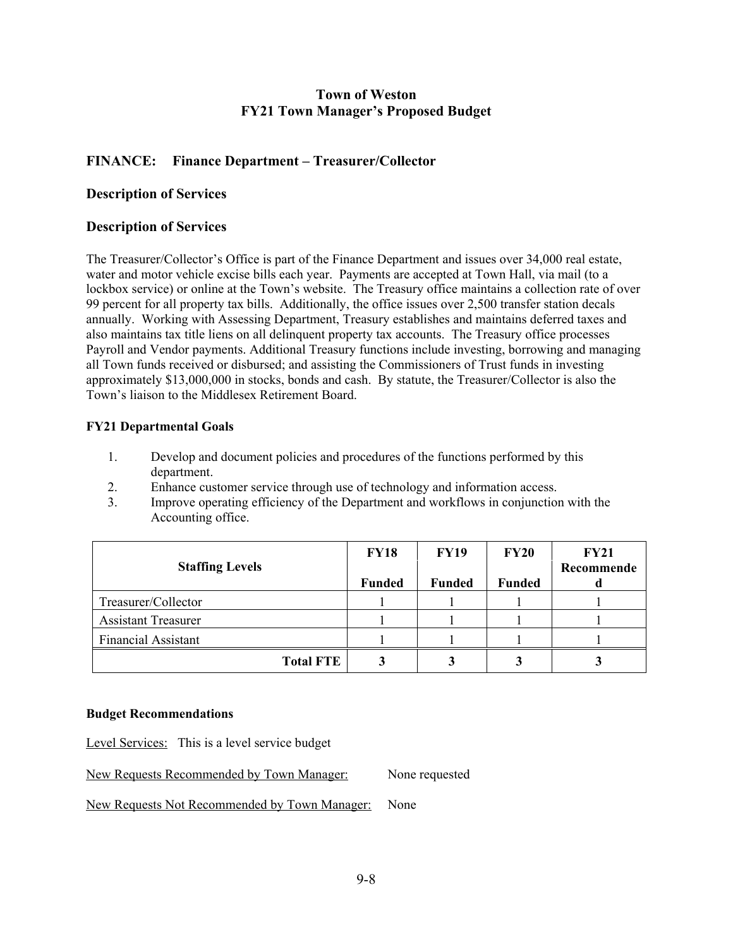### **FINANCE: Finance Department – Treasurer/Collector**

### **Description of Services**

### **Description of Services**

The Treasurer/Collector's Office is part of the Finance Department and issues over 34,000 real estate, water and motor vehicle excise bills each year. Payments are accepted at Town Hall, via mail (to a lockbox service) or online at the Town's website. The Treasury office maintains a collection rate of over 99 percent for all property tax bills. Additionally, the office issues over 2,500 transfer station decals annually. Working with Assessing Department, Treasury establishes and maintains deferred taxes and also maintains tax title liens on all delinquent property tax accounts. The Treasury office processes Payroll and Vendor payments. Additional Treasury functions include investing, borrowing and managing all Town funds received or disbursed; and assisting the Commissioners of Trust funds in investing approximately \$13,000,000 in stocks, bonds and cash. By statute, the Treasurer/Collector is also the Town's liaison to the Middlesex Retirement Board.

#### **FY21 Departmental Goals**

- 1. Develop and document policies and procedures of the functions performed by this department.
- 2. Enhance customer service through use of technology and information access.
- 3. Improve operating efficiency of the Department and workflows in conjunction with the Accounting office.

|                            | <b>FY18</b>   | <b>FY19</b>   | <b>FY20</b>   | <b>FY21</b>     |
|----------------------------|---------------|---------------|---------------|-----------------|
| <b>Staffing Levels</b>     | <b>Funded</b> | <b>Funded</b> | <b>Funded</b> | Recommende<br>u |
|                            |               |               |               |                 |
| Treasurer/Collector        |               |               |               |                 |
| <b>Assistant Treasurer</b> |               |               |               |                 |
| <b>Financial Assistant</b> |               |               |               |                 |
| <b>Total FTE</b>           |               |               |               |                 |

#### **Budget Recommendations**

Level Services: This is a level service budget

New Requests Recommended by Town Manager: None requested